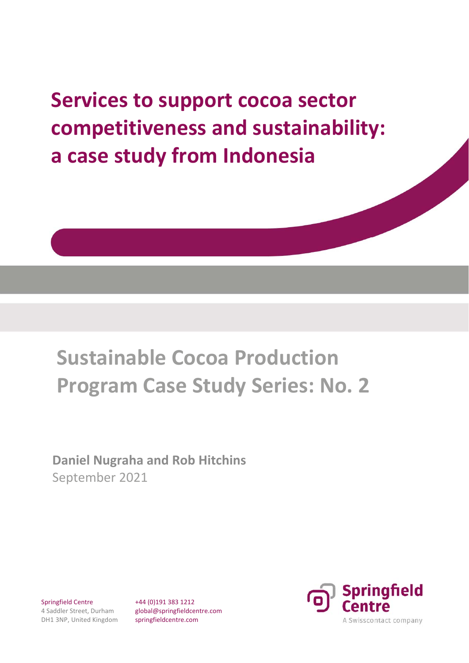**Services to support cocoa sector competitiveness and sustainability: a case study from Indonesia**

# **Sustainable Cocoa Production Program Case Study Series: No. 2**

**Daniel Nugraha and Rob Hitchins** September 2021

Springfield Centre 4 Saddler Street, Durham DH1 3NP, United Kingdom +44 (0)191 383 1212 global@springfieldcentre.com springfieldcentre.com

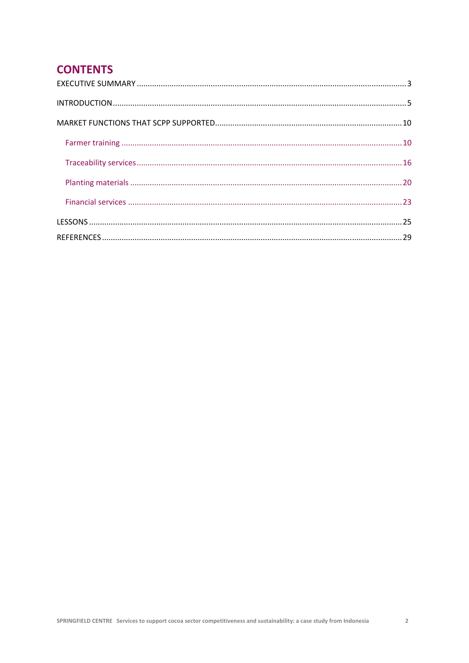# **CONTENTS**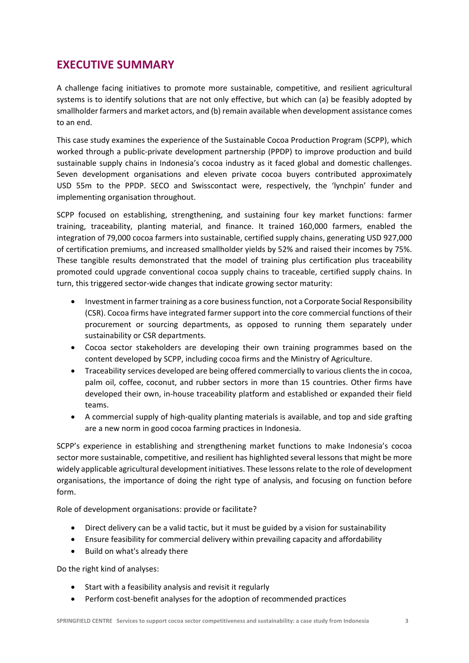# **EXECUTIVE SUMMARY**

A challenge facing initiatives to promote more sustainable, competitive, and resilient agricultural systems is to identify solutions that are not only effective, but which can (a) be feasibly adopted by smallholder farmers and market actors, and (b) remain available when development assistance comes to an end.

This case study examines the experience of the Sustainable Cocoa Production Program (SCPP), which worked through a public-private development partnership (PPDP) to improve production and build sustainable supply chains in Indonesia's cocoa industry as it faced global and domestic challenges. Seven development organisations and eleven private cocoa buyers contributed approximately USD 55m to the PPDP. SECO and Swisscontact were, respectively, the 'lynchpin' funder and implementing organisation throughout.

SCPP focused on establishing, strengthening, and sustaining four key market functions: farmer training, traceability, planting material, and finance. It trained 160,000 farmers, enabled the integration of 79,000 cocoa farmers into sustainable, certified supply chains, generating USD 927,000 of certification premiums, and increased smallholder yields by 52% and raised their incomes by 75%. These tangible results demonstrated that the model of training plus certification plus traceability promoted could upgrade conventional cocoa supply chains to traceable, certified supply chains. In turn, this triggered sector‐wide changes that indicate growing sector maturity:

- Investment in farmer training as a core business function, not a Corporate Social Responsibility (CSR). Cocoa firms have integrated farmer support into the core commercial functions of their procurement or sourcing departments, as opposed to running them separately under sustainability or CSR departments.
- Cocoa sector stakeholders are developing their own training programmes based on the content developed by SCPP, including cocoa firms and the Ministry of Agriculture.
- Traceability services developed are being offered commercially to various clients the in cocoa, palm oil, coffee, coconut, and rubber sectors in more than 15 countries. Other firms have developed their own, in‐house traceability platform and established or expanded their field teams.
- A commercial supply of high-quality planting materials is available, and top and side grafting are a new norm in good cocoa farming practices in Indonesia.

SCPP's experience in establishing and strengthening market functions to make Indonesia's cocoa sector more sustainable, competitive, and resilient has highlighted several lessons that might be more widely applicable agricultural development initiatives. These lessons relate to the role of development organisations, the importance of doing the right type of analysis, and focusing on function before form.

Role of development organisations: provide or facilitate?

- Direct delivery can be a valid tactic, but it must be guided by a vision for sustainability
- Ensure feasibility for commercial delivery within prevailing capacity and affordability
- Build on what's already there

Do the right kind of analyses:

- Start with a feasibility analysis and revisit it regularly
- Perform cost-benefit analyses for the adoption of recommended practices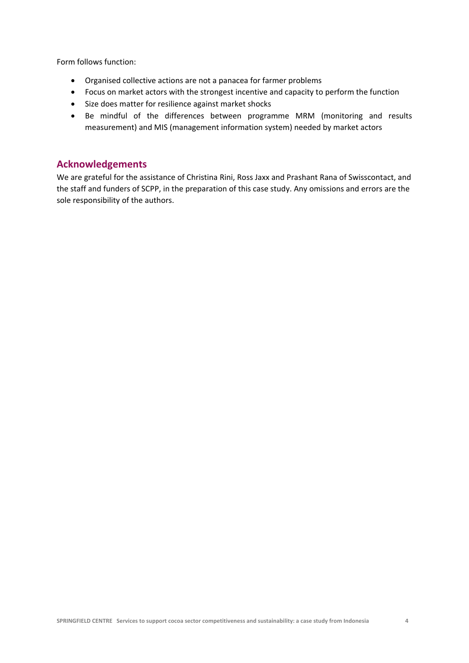Form follows function:

- Organised collective actions are not a panacea for farmer problems
- Focus on market actors with the strongest incentive and capacity to perform the function
- Size does matter for resilience against market shocks
- Be mindful of the differences between programme MRM (monitoring and results measurement) and MIS (management information system) needed by market actors

### **Acknowledgements**

We are grateful for the assistance of Christina Rini, Ross Jaxx and Prashant Rana of Swisscontact, and the staff and funders of SCPP, in the preparation of this case study. Any omissions and errors are the sole responsibility of the authors.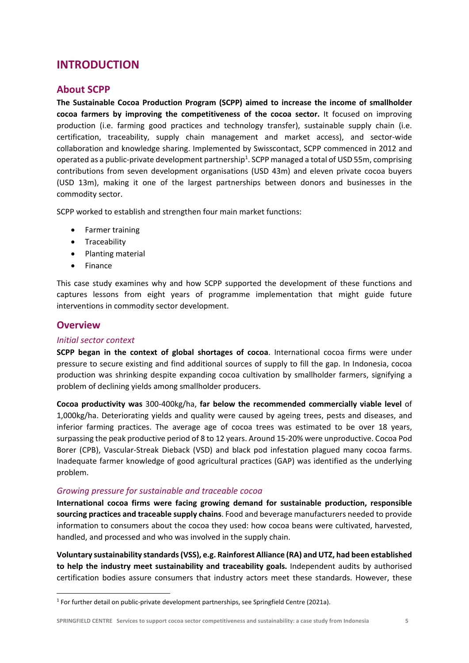# **INTRODUCTION**

# **About SCPP**

**The Sustainable Cocoa Production Program (SCPP) aimed to increase the income of smallholder cocoa farmers by improving the competitiveness of the cocoa sector.**  It focused on improving production (i.e. farming good practices and technology transfer), sustainable supply chain (i.e. certification, traceability, supply chain management and market access), and sector‐wide collaboration and knowledge sharing. Implemented by Swisscontact, SCPP commenced in 2012 and operated as a public-private development partnership<sup>1</sup>. SCPP managed a total of USD 55m, comprising contributions from seven development organisations (USD 43m) and eleven private cocoa buyers (USD 13m), making it one of the largest partnerships between donors and businesses in the commodity sector.

SCPP worked to establish and strengthen four main market functions:

- Farmer training
- **•** Traceability
- Planting material
- Finance

This case study examines why and how SCPP supported the development of these functions and captures lessons from eight years of programme implementation that might guide future interventions in commodity sector development.

# **Overview**

#### *Initial sector context*

**SCPP began in the context of global shortages of cocoa**. International cocoa firms were under pressure to secure existing and find additional sources of supply to fill the gap. In Indonesia, cocoa production was shrinking despite expanding cocoa cultivation by smallholder farmers, signifying a problem of declining yields among smallholder producers.

**Cocoa productivity was** 300‐400kg/ha, **far below the recommended commercially viable level** of 1,000kg/ha. Deteriorating yields and quality were caused by ageing trees, pests and diseases, and inferior farming practices. The average age of cocoa trees was estimated to be over 18 years, surpassing the peak productive period of 8 to 12 years. Around 15‐20% were unproductive. Cocoa Pod Borer (CPB), Vascular-Streak Dieback (VSD) and black pod infestation plagued many cocoa farms. Inadequate farmer knowledge of good agricultural practices (GAP) was identified as the underlying problem.

### *Growing pressure for sustainable and traceable cocoa*

**International cocoa firms were facing growing demand for sustainable production, responsible sourcing practices and traceable supply chains**. Food and beverage manufacturers needed to provide information to consumers about the cocoa they used: how cocoa beans were cultivated, harvested, handled, and processed and who was involved in the supply chain.

**Voluntary sustainability standards (VSS), e.g. Rainforest Alliance (RA) and UTZ, had been established to help the industry meet sustainability and traceability goals.** Independent audits by authorised certification bodies assure consumers that industry actors meet these standards. However, these

<sup>1</sup> For further detail on public‐private development partnerships, see Springfield Centre (2021a).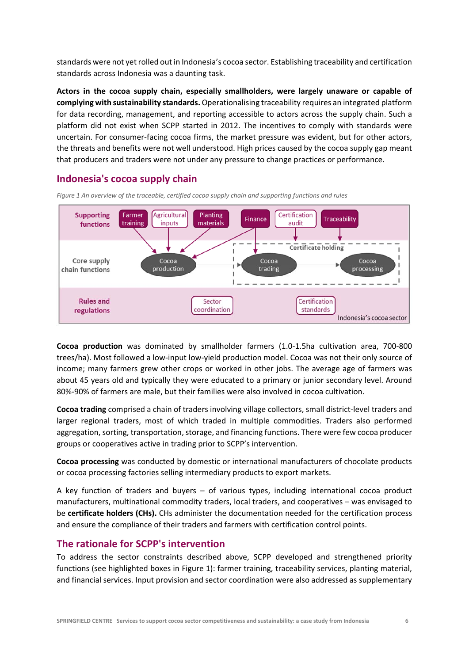standards were not yet rolled out in Indonesia's cocoa sector. Establishing traceability and certification standards across Indonesia was a daunting task.

**Actors in the cocoa supply chain, especially smallholders, were largely unaware or capable of complying with sustainability standards.** Operationalising traceability requires an integrated platform for data recording, management, and reporting accessible to actors across the supply chain. Such a platform did not exist when SCPP started in 2012. The incentives to comply with standards were uncertain. For consumer‐facing cocoa firms, the market pressure was evident, but for other actors, the threats and benefits were not well understood. High prices caused by the cocoa supply gap meant that producers and traders were not under any pressure to change practices or performance.

# **Indonesia's cocoa supply chain**



*Figure 1 An overview of the traceable, certified cocoa supply chain and supporting functions and rules* 

**Cocoa production**  was dominated by smallholder farmers (1.0‐1.5ha cultivation area, 700‐800 trees/ha). Most followed a low‐input low‐yield production model. Cocoa was not their only source of income; many farmers grew other crops or worked in other jobs. The average age of farmers was about 45 years old and typically they were educated to a primary or junior secondary level. Around 80%‐90% of farmers are male, but their families were also involved in cocoa cultivation.

**Cocoa trading** comprised a chain of traders involving village collectors, small district‐level traders and larger regional traders, most of which traded in multiple commodities. Traders also performed aggregation, sorting, transportation, storage, and financing functions. There were few cocoa producer groups or cooperatives active in trading prior to SCPP's intervention.

**Cocoa processing** was conducted by domestic or international manufacturers of chocolate products or cocoa processing factories selling intermediary products to export markets.

A key function of traders and buyers  $-$  of various types, including international cocoa product manufacturers, multinational commodity traders, local traders, and cooperatives – was envisaged to be **certificate holders (CHs).** CHs administer the documentation needed for the certification process and ensure the compliance of their traders and farmers with certification control points.

# **The rationale for SCPP's intervention**

To address the sector constraints described above, SCPP developed and strengthened priority functions (see highlighted boxes in Figure 1): farmer training, traceability services, planting material, and financial services. Input provision and sector coordination were also addressed as supplementary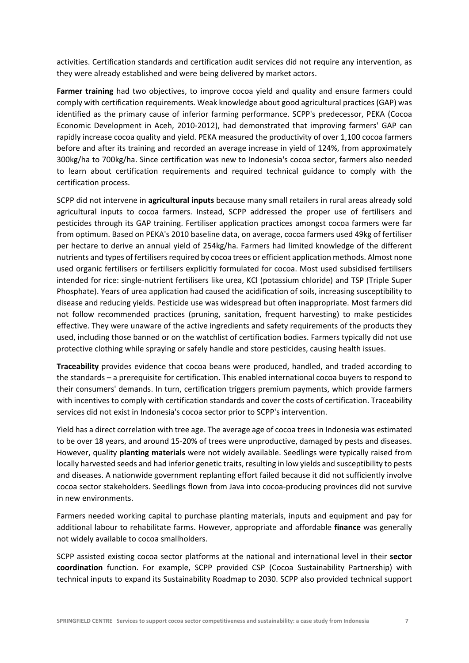activities. Certification standards and certification audit services did not require any intervention, as they were already established and were being delivered by market actors.

Farmer training had two objectives, to improve cocoa yield and quality and ensure farmers could comply with certification requirements. Weak knowledge about good agricultural practices (GAP) was identified as the primary cause of inferior farming performance. SCPP's predecessor, PEKA (Cocoa Economic Development in Aceh, 2010‐2012), had demonstrated that improving farmers' GAP can rapidly increase cocoa quality and yield. PEKA measured the productivity of over 1,100 cocoa farmers before and after its training and recorded an average increase in yield of 124%, from approximately 300kg/ha to 700kg/ha. Since certification was new to Indonesia's cocoa sector, farmers also needed to learn about certification requirements and required technical guidance to comply with the certification process.

SCPP did not intervene in **agricultural inputs** because many small retailers in rural areas already sold agricultural inputs to cocoa farmers. Instead, SCPP addressed the proper use of fertilisers and pesticides through its GAP training. Fertiliser application practices amongst cocoa farmers were far from optimum. Based on PEKA's 2010 baseline data, on average, cocoa farmers used 49kg of fertiliser per hectare to derive an annual yield of 254kg/ha. Farmers had limited knowledge of the different nutrients and types of fertilisers required by cocoa trees or efficient application methods. Almost none used organic fertilisers or fertilisers explicitly formulated for cocoa. Most used subsidised fertilisers intended for rice: single‐nutrient fertilisers like urea, KCl (potassium chloride) and TSP (Triple Super Phosphate). Years of urea application had caused the acidification of soils, increasing susceptibility to disease and reducing yields. Pesticide use was widespread but often inappropriate. Most farmers did not follow recommended practices (pruning, sanitation, frequent harvesting) to make pesticides effective. They were unaware of the active ingredients and safety requirements of the products they used, including those banned or on the watchlist of certification bodies. Farmers typically did not use protective clothing while spraying or safely handle and store pesticides, causing health issues.

**Traceability** provides evidence that cocoa beans were produced, handled, and traded according to the standards – a prerequisite for certification. This enabled international cocoa buyers to respond to their consumers' demands. In turn, certification triggers premium payments, which provide farmers with incentives to comply with certification standards and cover the costs of certification. Traceability services did not exist in Indonesia's cocoa sector prior to SCPP's intervention.

Yield has a direct correlation with tree age. The average age of cocoa trees in Indonesia was estimated to be over 18 years, and around 15‐20% of trees were unproductive, damaged by pests and diseases. However, quality **planting materials** were not widely available. Seedlings were typically raised from locally harvested seeds and had inferior genetic traits, resulting in low yields and susceptibility to pests and diseases. A nationwide government replanting effort failed because it did not sufficiently involve cocoa sector stakeholders. Seedlings flown from Java into cocoa‐producing provinces did not survive in new environments.

Farmers needed working capital to purchase planting materials, inputs and equipment and pay for additional labour to rehabilitate farms. However, appropriate and affordable **finance** was generally not widely available to cocoa smallholders.

SCPP assisted existing cocoa sector platforms at the national and international level in their **sector coordination**  function. For example, SCPP provided CSP (Cocoa Sustainability Partnership) with technical inputs to expand its Sustainability Roadmap to 2030. SCPP also provided technical support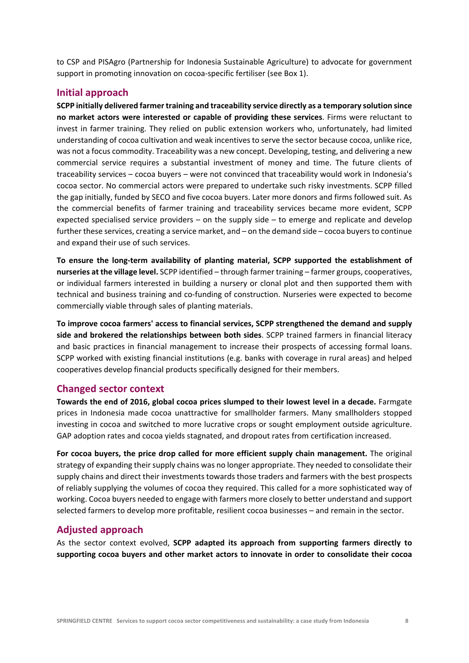to CSP and PISAgro (Partnership for Indonesia Sustainable Agriculture) to advocate for government support in promoting innovation on cocoa-specific fertiliser (see Box 1).

### **Initial approach**

**SCPP initially delivered farmer training and traceability service directly as a temporary solution since no market actors were interested or capable of providing these services**. Firms were reluctant to invest in farmer training. They relied on public extension workers who, unfortunately, had limited understanding of cocoa cultivation and weak incentives to serve the sector because cocoa, unlike rice, was not a focus commodity. Traceability was a new concept. Developing, testing, and delivering a new commercial service requires a substantial investment of money and time. The future clients of traceability services – cocoa buyers – were not convinced that traceability would work in Indonesia's cocoa sector. No commercial actors were prepared to undertake such risky investments. SCPP filled the gap initially, funded by SECO and five cocoa buyers. Later more donors and firms followed suit. As the commercial benefits of farmer training and traceability services became more evident, SCPP expected specialised service providers  $-$  on the supply side  $-$  to emerge and replicate and develop further these services, creating a service market, and – on the demand side – cocoa buyers to continue and expand their use of such services.

**To ensure the long‐term availability of planting material, SCPP supported the establishment of nurseries at the village level.** SCPP identified – through farmer training – farmer groups, cooperatives, or individual farmers interested in building a nursery or clonal plot and then supported them with technical and business training and co-funding of construction. Nurseries were expected to become commercially viable through sales of planting materials.

**To improve cocoa farmers' access to financial services, SCPP strengthened the demand and supply side and brokered the relationships between both sides**. SCPP trained farmers in financial literacy and basic practices in financial management to increase their prospects of accessing formal loans. SCPP worked with existing financial institutions (e.g. banks with coverage in rural areas) and helped cooperatives develop financial products specifically designed for their members.

### **Changed sector context**

**Towards the end of 2016, global cocoa prices slumped to their lowest level in a decade.** Farmgate prices in Indonesia made cocoa unattractive for smallholder farmers. Many smallholders stopped investing in cocoa and switched to more lucrative crops or sought employment outside agriculture. GAP adoption rates and cocoa yields stagnated, and dropout rates from certification increased.

**For cocoa buyers, the price drop called for more efficient supply chain management.** The original strategy of expanding their supply chains was no longer appropriate. They needed to consolidate their supply chains and direct their investments towards those traders and farmers with the best prospects of reliably supplying the volumes of cocoa they required. This called for a more sophisticated way of working. Cocoa buyers needed to engage with farmers more closely to better understand and support selected farmers to develop more profitable, resilient cocoa businesses – and remain in the sector.

### **Adjusted approach**

As the sector context evolved, **SCPP adapted its approach from supporting farmers directly to supporting cocoa buyers and other market actors to innovate in order to consolidate their cocoa**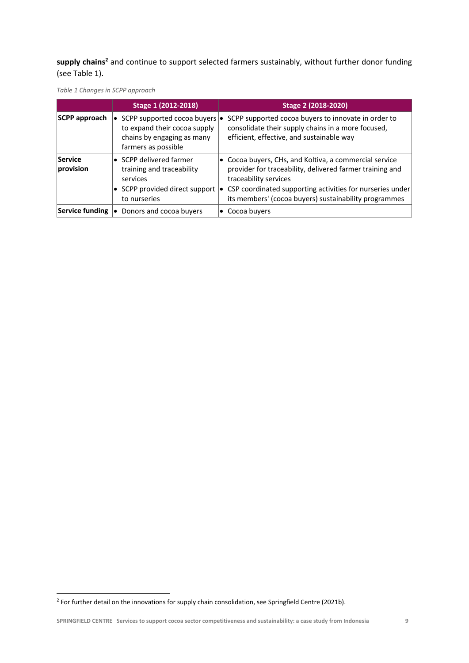supply chains<sup>2</sup> and continue to support selected farmers sustainably, without further donor funding (see Table 1).



|                      | Stage 1 (2012-2018)                                                                                                             | Stage 2 (2018-2020)                                                                                                                                                                                                                                                       |
|----------------------|---------------------------------------------------------------------------------------------------------------------------------|---------------------------------------------------------------------------------------------------------------------------------------------------------------------------------------------------------------------------------------------------------------------------|
| SCPP approach        | SCPP supported cocoa buyers  <br>$\bullet$<br>to expand their cocoa supply<br>chains by engaging as many<br>farmers as possible | SCPP supported cocoa buyers to innovate in order to<br>consolidate their supply chains in a more focused,<br>efficient, effective, and sustainable way                                                                                                                    |
| Service<br>provision | • SCPP delivered farmer<br>training and traceability<br>services<br>SCPP provided direct support<br>to nurseries                | $\bullet$ Cocoa buyers, CHs, and Koltiva, a commercial service<br>provider for traceability, delivered farmer training and<br>traceability services<br>CSP coordinated supporting activities for nurseries under<br>its members' (cocoa buyers) sustainability programmes |
| Service funding      | Donors and cocoa buyers<br>۱o                                                                                                   | $\bullet$ Cocoa buyers                                                                                                                                                                                                                                                    |

<sup>&</sup>lt;sup>2</sup> For further detail on the innovations for supply chain consolidation, see Springfield Centre (2021b).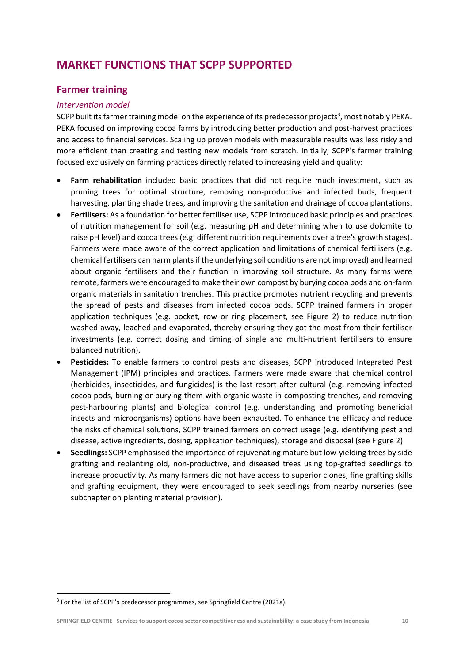# **MARKET FUNCTIONS THAT SCPP SUPPORTED**

# **Farmer training**

#### *Intervention model*

SCPP built its farmer training model on the experience of its predecessor projects<sup>3</sup>, most notably PEKA. PEKA focused on improving cocoa farms by introducing better production and post‐harvest practices and access to financial services. Scaling up proven models with measurable results was less risky and more efficient than creating and testing new models from scratch. Initially, SCPP's farmer training focused exclusively on farming practices directly related to increasing yield and quality:

- Farm rehabilitation included basic practices that did not require much investment, such as pruning trees for optimal structure, removing non-productive and infected buds, frequent harvesting, planting shade trees, and improving the sanitation and drainage of cocoa plantations.
- **Fertilisers:** As a foundation for better fertiliser use, SCPP introduced basic principles and practices of nutrition management for soil (e.g. measuring pH and determining when to use dolomite to raise pH level) and cocoa trees (e.g. different nutrition requirements over a tree's growth stages). Farmers were made aware of the correct application and limitations of chemical fertilisers (e.g. chemical fertilisers can harm plants if the underlying soil conditions are not improved) and learned about organic fertilisers and their function in improving soil structure. As many farms were remote, farmers were encouraged to make their own compost by burying cocoa pods and on‐farm organic materials in sanitation trenches. This practice promotes nutrient recycling and prevents the spread of pests and diseases from infected cocoa pods. SCPP trained farmers in proper application techniques (e.g. pocket, row or ring placement, see Figure 2) to reduce nutrition washed away, leached and evaporated, thereby ensuring they got the most from their fertiliser investments (e.g. correct dosing and timing of single and multi-nutrient fertilisers to ensure balanced nutrition).
- Pesticides: To enable farmers to control pests and diseases, SCPP introduced Integrated Pest Management (IPM) principles and practices. Farmers were made aware that chemical control (herbicides, insecticides, and fungicides) is the last resort after cultural (e.g. removing infected cocoa pods, burning or burying them with organic waste in composting trenches, and removing pest-harbouring plants) and biological control (e.g. understanding and promoting beneficial insects and microorganisms) options have been exhausted. To enhance the efficacy and reduce the risks of chemical solutions, SCPP trained farmers on correct usage (e.g. identifying pest and disease, active ingredients, dosing, application techniques), storage and disposal (see Figure 2).
- **Seedlings:** SCPP emphasised the importance of rejuvenating mature but low‐yielding trees by side grafting and replanting old, non‐productive, and diseased trees using top‐grafted seedlings to increase productivity. As many farmers did not have access to superior clones, fine grafting skills and grafting equipment, they were encouraged to seek seedlings from nearby nurseries (see subchapter on planting material provision).

<sup>&</sup>lt;sup>3</sup> For the list of SCPP's predecessor programmes, see Springfield Centre (2021a).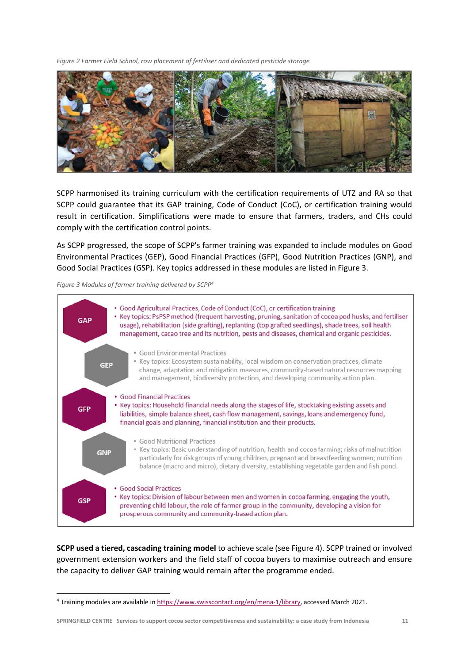*Figure 2 Farmer Field School, row placement of fertiliser and dedicated pesticide storage* 



SCPP harmonised its training curriculum with the certification requirements of UTZ and RA so that SCPP could guarantee that its GAP training, Code of Conduct (CoC), or certification training would result in certification. Simplifications were made to ensure that farmers, traders, and CHs could comply with the certification control points.

As SCPP progressed, the scope of SCPP's farmer training was expanded to include modules on Good Environmental Practices (GEP), Good Financial Practices (GFP), Good Nutrition Practices (GNP), and Good Social Practices (GSP). Key topics addressed in these modules are listed in Figure 3.

*Figure 3 Modules of farmer training delivered by SCPP4*



**SCPP used a tiered, cascading training model** to achieve scale (see Figure 4). SCPP trained or involved government extension workers and the field staff of cocoa buyers to maximise outreach and ensure the capacity to deliver GAP training would remain after the programme ended.

<sup>4</sup> Training modules are available in https://www.swisscontact.org/en/mena‐1/library, accessed March 2021.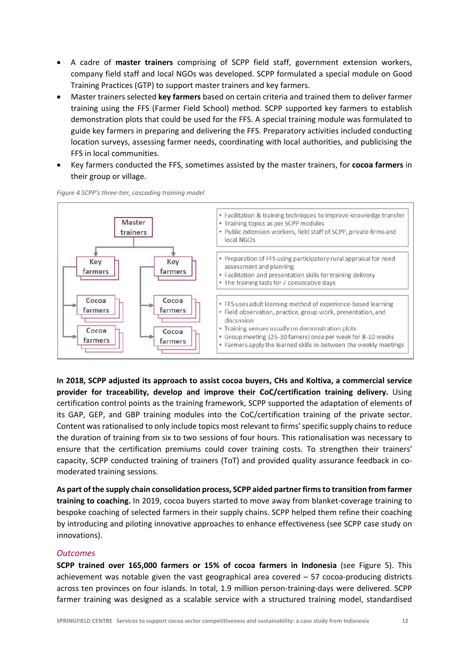- A cadre of **master trainers** comprising of SCPP field staff, government extension workers, company field staff and local NGOs was developed. SCPP formulated a special module on Good Training Practices (GTP) to support master trainers and key farmers.
- Master trainers selected **key farmers** based on certain criteria and trained them to deliver farmer training using the FFS (Farmer Field School) method. SCPP supported key farmers to establish demonstration plots that could be used for the FFS. A special training module was formulated to guide key farmers in preparing and delivering the FFS. Preparatory activities included conducting location surveys, assessing farmer needs, coordinating with local authorities, and publicising the FFS in local communities.
- Key farmers conducted the FFS, sometimes assisted by the master trainers, for **cocoa farmers** in their group or village.



*Figure 4 SCPP's three‐tier, cascading training model* 

**In 2018, SCPP adjusted its approach to assist cocoa buyers, CHs and Koltiva, a commercial service provider for traceability, develop and improve their CoC/certification training delivery.**  Using certification control points as the training framework, SCPP supported the adaptation of elements of its GAP, GEP, and GBP training modules into the CoC/certification training of the private sector. Content was rationalised to only include topics most relevant to firms' specific supply chains to reduce the duration of training from six to two sessions of four hours. This rationalisation was necessary to ensure that the certification premiums could cover training costs. To strengthen their trainers' capacity, SCPP conducted training of trainers (ToT) and provided quality assurance feedback in co‐ moderated training sessions.

**As part of the supply chain consolidation process, SCPP aided partner firms to transition from farmer training to coaching.** In 2019, cocoa buyers started to move away from blanket‐coverage training to bespoke coaching of selected farmers in their supply chains. SCPP helped them refine their coaching by introducing and piloting innovative approaches to enhance effectiveness (see SCPP case study on innovations).

#### *Outcomes*

**SCPP trained over 165,000 farmers or 15% of cocoa farmers in Indonesia**  (see Figure 5). This achievement was notable given the vast geographical area covered  $-57$  cocoa-producing districts across ten provinces on four islands. In total, 1.9 million person-training-days were delivered. SCPP farmer training was designed as a scalable service with a structured training model, standardised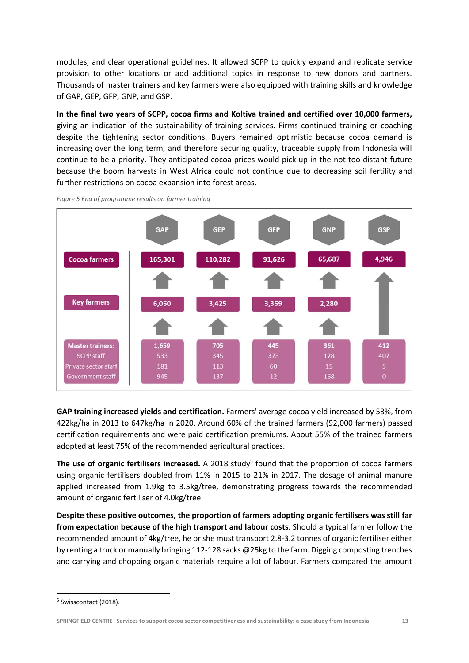modules, and clear operational guidelines. It allowed SCPP to quickly expand and replicate service provision to other locations or add additional topics in response to new donors and partners. Thousands of master trainers and key farmers were also equipped with training skills and knowledge of GAP, GEP, GFP, GNP, and GSP.

**In the final two years of SCPP, cocoa firms and Koltiva trained and certified over 10,000 farmers,**  giving an indication of the sustainability of training services. Firms continued training or coaching despite the tightening sector conditions. Buyers remained optimistic because cocoa demand is increasing over the long term, and therefore securing quality, traceable supply from Indonesia will continue to be a priority. They anticipated cocoa prices would pick up in the not-too-distant future because the boom harvests in West Africa could not continue due to decreasing soil fertility and further restrictions on cocoa expansion into forest areas.



*Figure 5 End of programme results on farmer training* 

**GAP training increased yields and certification.** Farmers' average cocoa yield increased by 53%, from 422kg/ha in 2013 to 647kg/ha in 2020. Around 60% of the trained farmers (92,000 farmers) passed certification requirements and were paid certification premiums. About 55% of the trained farmers adopted at least 75% of the recommended agricultural practices.

The use of organic fertilisers increased. A 2018 study<sup>5</sup> found that the proportion of cocoa farmers using organic fertilisers doubled from 11% in 2015 to 21% in 2017. The dosage of animal manure applied increased from 1.9kg to 3.5kg/tree, demonstrating progress towards the recommended amount of organic fertiliser of 4.0kg/tree.

**Despite these positive outcomes, the proportion of farmers adopting organic fertilisers was still far from expectation because of the high transport and labour costs**. Should a typical farmer follow the recommended amount of 4kg/tree, he or she must transport 2.8‐3.2 tonnes of organic fertiliser either by renting a truck or manually bringing 112‐128 sacks @25kg to the farm. Digging composting trenches and carrying and chopping organic materials require a lot of labour. Farmers compared the amount

<sup>5</sup> Swisscontact (2018).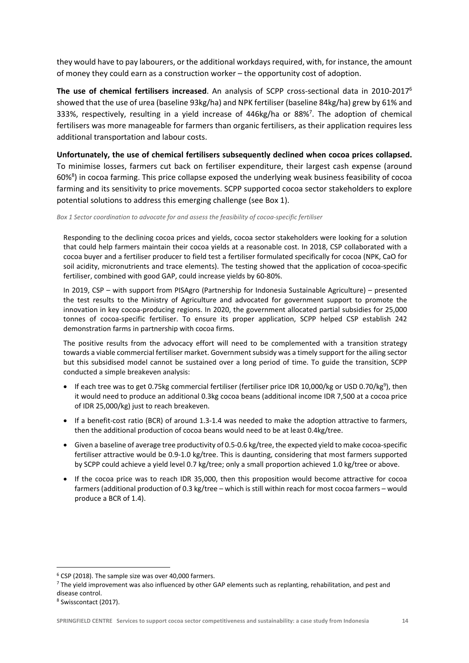they would have to pay labourers, or the additional workdays required, with, for instance, the amount of money they could earn as a construction worker – the opportunity cost of adoption.

**The use of chemical fertilisers increased**. An analysis of SCPP cross‐sectional data in 2010‐20176 showed that the use of urea (baseline 93kg/ha) and NPK fertiliser (baseline 84kg/ha) grew by 61% and 333%, respectively, resulting in a yield increase of 446kg/ha or 88%<sup>7</sup>. The adoption of chemical fertilisers was more manageable for farmers than organic fertilisers, as their application requires less additional transportation and labour costs.

**Unfortunately, the use of chemical fertilisers subsequently declined when cocoa prices collapsed.** To minimise losses, farmers cut back on fertiliser expenditure, their largest cash expense (around 60%<sup>8</sup>) in cocoa farming. This price collapse exposed the underlying weak business feasibility of cocoa farming and its sensitivity to price movements. SCPP supported cocoa sector stakeholders to explore potential solutions to address this emerging challenge (see Box 1).

*Box 1 Sector coordination to advocate for and assess the feasibility of cocoa‐specific fertiliser* 

Responding to the declining cocoa prices and yields, cocoa sector stakeholders were looking for a solution that could help farmers maintain their cocoa yields at a reasonable cost. In 2018, CSP collaborated with a cocoa buyer and a fertiliser producer to field test a fertiliser formulated specifically for cocoa (NPK, CaO for soil acidity, micronutrients and trace elements). The testing showed that the application of cocoa-specific fertiliser, combined with good GAP, could increase yields by 60‐80%.

In 2019, CSP – with support from PISAgro (Partnership for Indonesia Sustainable Agriculture) – presented the test results to the Ministry of Agriculture and advocated for government support to promote the innovation in key cocoa‐producing regions. In 2020, the government allocated partial subsidies for 25,000 tonnes of cocoa-specific fertiliser. To ensure its proper application, SCPP helped CSP establish 242 demonstration farms in partnership with cocoa firms.

The positive results from the advocacy effort will need to be complemented with a transition strategy towards a viable commercial fertiliser market. Government subsidy was a timely support for the ailing sector but this subsidised model cannot be sustained over a long period of time. To guide the transition, SCPP conducted a simple breakeven analysis:

- $\bullet$  If each tree was to get 0.75kg commercial fertiliser (fertiliser price IDR 10,000/kg or USD 0.70/kg<sup>9</sup>), then it would need to produce an additional 0.3kg cocoa beans (additional income IDR 7,500 at a cocoa price of IDR 25,000/kg) just to reach breakeven.
- If a benefit-cost ratio (BCR) of around 1.3-1.4 was needed to make the adoption attractive to farmers, then the additional production of cocoa beans would need to be at least 0.4kg/tree.
- Given a baseline of average tree productivity of 0.5-0.6 kg/tree, the expected yield to make cocoa-specific fertiliser attractive would be 0.9‐1.0 kg/tree. This is daunting, considering that most farmers supported by SCPP could achieve a yield level 0.7 kg/tree; only a small proportion achieved 1.0 kg/tree or above.
- If the cocoa price was to reach IDR 35,000, then this proposition would become attractive for cocoa farmers (additional production of 0.3 kg/tree – which is still within reach for most cocoa farmers – would produce a BCR of 1.4).

<sup>6</sup> CSP (2018). The sample size was over 40,000 farmers.

 $7$  The yield improvement was also influenced by other GAP elements such as replanting, rehabilitation, and pest and disease control.

<sup>8</sup> Swisscontact (2017).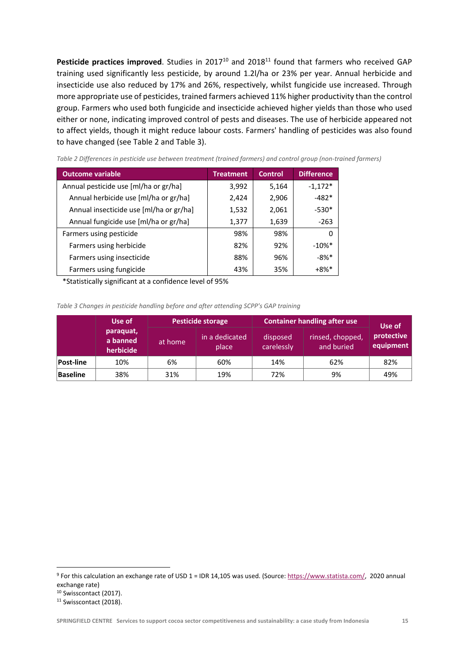Pesticide practices improved. Studies in 2017<sup>10</sup> and 2018<sup>11</sup> found that farmers who received GAP training used significantly less pesticide, by around 1.2l/ha or 23% per year. Annual herbicide and insecticide use also reduced by 17% and 26%, respectively, whilst fungicide use increased. Through more appropriate use of pesticides, trained farmers achieved 11% higher productivity than the control group. Farmers who used both fungicide and insecticide achieved higher yields than those who used either or none, indicating improved control of pests and diseases. The use of herbicide appeared not to affect yields, though it might reduce labour costs. Farmers' handling of pesticides was also found to have changed (see Table 2 and Table 3).

| <b>Outcome variable</b>                 | <b>Treatment</b> | <b>Control</b> | <b>Difference</b>    |
|-----------------------------------------|------------------|----------------|----------------------|
| Annual pesticide use [ml/ha or gr/ha]   | 3,992            | 5,164          | $-1,172*$            |
| Annual herbicide use [ml/ha or gr/ha]   | 2,424            | 2,906          | $-482*$              |
| Annual insecticide use [ml/ha or gr/ha] | 1,532            | 2,061          | $-530*$              |
| Annual fungicide use [ml/ha or gr/ha]   | 1,377            | 1,639          | $-263$               |
| Farmers using pesticide                 | 98%              | 98%            | 0                    |
| Farmers using herbicide                 | 82%              | 92%            | $-10\%$ <sup>*</sup> |
| Farmers using insecticide               | 88%              | 96%            | $-8%$ *              |
| Farmers using fungicide                 | 43%              | 35%            | $+8\%$ *             |

*Table 2 Differences in pesticide use between treatment (trained farmers) and control group (non‐trained farmers)* 

\*Statistically significant at a confidence level of 95%

*Table 3 Changes in pesticide handling before and after attending SCPP's GAP training* 

|                  | Use of                             | <b>Pesticide storage</b> |                         | <b>Container handling after use</b> |                                | Use of                  |
|------------------|------------------------------------|--------------------------|-------------------------|-------------------------------------|--------------------------------|-------------------------|
|                  | paraquat,<br>a banned<br>herbicide | at home                  | in a dedicated<br>place | disposed<br>carelessly              | rinsed, chopped,<br>and buried | protective<br>equipment |
| <b>Post-line</b> | 10%                                | 6%                       | 60%                     | 14%                                 | 62%                            | 82%                     |
| Baseline         | 38%                                | 31%                      | 19%                     | 72%                                 | 9%                             | 49%                     |

<sup>9</sup> For this calculation an exchange rate of USD 1 = IDR 14,105 was used. (Source: https://www.statista.com/, 2020 annual exchange rate)

<sup>&</sup>lt;sup>10</sup> Swisscontact (2017).

<sup>&</sup>lt;sup>11</sup> Swisscontact (2018).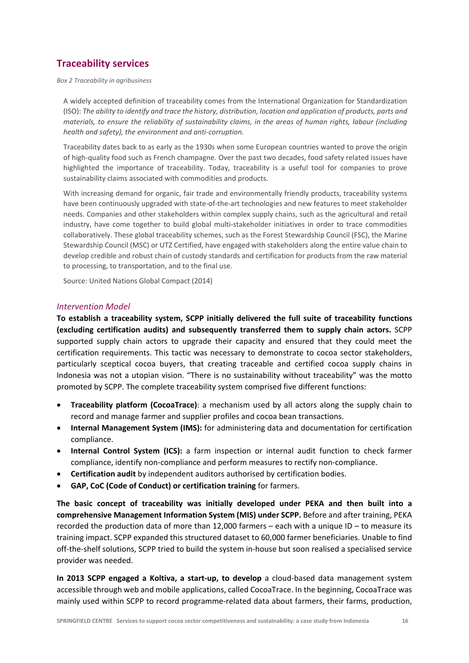# **Traceability services**

*Box 2 Traceability in agribusiness* 

A widely accepted definition of traceability comes from the International Organization for Standardization (ISO): *The ability to identify and trace the history, distribution, location and application of products, parts and materials, to ensure the reliability of sustainability claims, in the areas of human rights, labour (including health and safety), the environment and anti‐corruption.* 

Traceability dates back to as early as the 1930s when some European countries wanted to prove the origin of high‐quality food such as French champagne. Over the past two decades, food safety related issues have highlighted the importance of traceability. Today, traceability is a useful tool for companies to prove sustainability claims associated with commodities and products.

With increasing demand for organic, fair trade and environmentally friendly products, traceability systems have been continuously upgraded with state-of-the-art technologies and new features to meet stakeholder needs. Companies and other stakeholders within complex supply chains, such as the agricultural and retail industry, have come together to build global multi-stakeholder initiatives in order to trace commodities collaboratively. These global traceability schemes, such as the Forest Stewardship Council (FSC), the Marine Stewardship Council (MSC) or UTZ Certified, have engaged with stakeholders along the entire value chain to develop credible and robust chain of custody standards and certification for products from the raw material to processing, to transportation, and to the final use.

Source: United Nations Global Compact (2014)

#### *Intervention Model*

**To establish a traceability system, SCPP initially delivered the full suite of traceability functions (excluding certification audits) and subsequently transferred them to supply chain actors.**  SCPP supported supply chain actors to upgrade their capacity and ensured that they could meet the certification requirements. This tactic was necessary to demonstrate to cocoa sector stakeholders, particularly sceptical cocoa buyers, that creating traceable and certified cocoa supply chains in Indonesia was not a utopian vision. "There is no sustainability without traceability" was the motto promoted by SCPP. The complete traceability system comprised five different functions:

- **Traceability platform (CocoaTrace)**: a mechanism used by all actors along the supply chain to record and manage farmer and supplier profiles and cocoa bean transactions.
- **Internal Management System (IMS):** for administering data and documentation for certification compliance.
- **Internal Control System (ICS):** a farm inspection or internal audit function to check farmer compliance, identify non‐compliance and perform measures to rectify non‐compliance.
- **Certification audit** by independent auditors authorised by certification bodies.
- **GAP, CoC (Code of Conduct) or certification training** for farmers.

**The basic concept of traceability was initially developed under PEKA and then built into a comprehensive Management Information System (MIS) under SCPP.** Before and after training, PEKA recorded the production data of more than 12,000 farmers – each with a unique ID – to measure its training impact. SCPP expanded this structured dataset to 60,000 farmer beneficiaries. Unable to find off‐the‐shelf solutions, SCPP tried to build the system in‐house but soon realised a specialised service provider was needed.

In **2013 SCPP engaged a Koltiva, a start-up, to develop** a cloud-based data management system accessible through web and mobile applications, called CocoaTrace. In the beginning, CocoaTrace was mainly used within SCPP to record programme‐related data about farmers, their farms, production,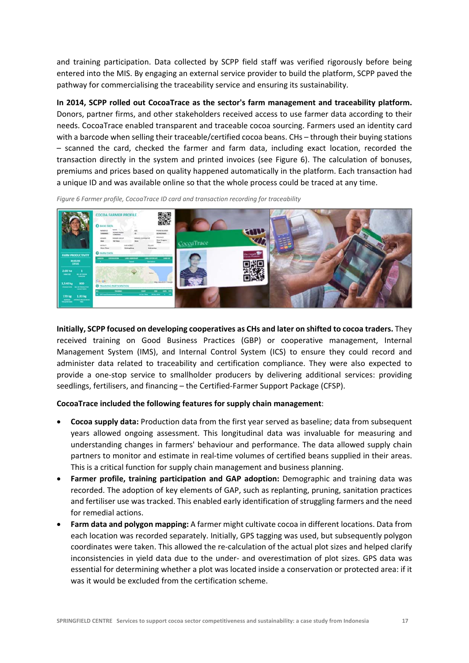and training participation. Data collected by SCPP field staff was verified rigorously before being entered into the MIS. By engaging an external service provider to build the platform, SCPP paved the pathway for commercialising the traceability service and ensuring its sustainability.

**In 2014, SCPP rolled out CocoaTrace as the sector's farm management and traceability platform.** Donors, partner firms, and other stakeholders received access to use farmer data according to their needs. CocoaTrace enabled transparent and traceable cocoa sourcing. Farmers used an identity card with a barcode when selling their traceable/certified cocoa beans. CHs – through their buying stations – scanned the card, checked the farmer and farm data, including exact location, recorded the transaction directly in the system and printed invoices (see Figure 6). The calculation of bonuses, premiums and prices based on quality happened automatically in the platform. Each transaction had a unique ID and was available online so that the whole process could be traced at any time.

*Figure 6 Farmer profile, CocoaTrace ID card and transaction recording for traceability* 

**Initially, SCPP focused on developing cooperatives as CHs and later on shifted to cocoa traders.** They received training on Good Business Practices (GBP) or cooperative management, Internal Management System (IMS), and Internal Control System (ICS) to ensure they could record and administer data related to traceability and certification compliance. They were also expected to provide a one‐stop service to smallholder producers by delivering additional services: providing seedlings, fertilisers, and financing – the Certified‐Farmer Support Package (CFSP).

#### **CocoaTrace included the following features for supply chain management**:

- **Cocoa supply data:** Production data from the first year served as baseline; data from subsequent years allowed ongoing assessment. This longitudinal data was invaluable for measuring and understanding changes in farmers' behaviour and performance. The data allowed supply chain partners to monitor and estimate in real‐time volumes of certified beans supplied in their areas. This is a critical function for supply chain management and business planning.
- **Farmer profile, training participation and GAP adoption:** Demographic and training data was recorded. The adoption of key elements of GAP, such as replanting, pruning, sanitation practices and fertiliser use was tracked. This enabled early identification of struggling farmers and the need for remedial actions.
- **Farm data and polygon mapping:** A farmer might cultivate cocoa in different locations. Data from each location was recorded separately. Initially, GPS tagging was used, but subsequently polygon coordinates were taken. This allowed the re-calculation of the actual plot sizes and helped clarify inconsistencies in yield data due to the under‐ and overestimation of plot sizes. GPS data was essential for determining whether a plot was located inside a conservation or protected area: if it was it would be excluded from the certification scheme.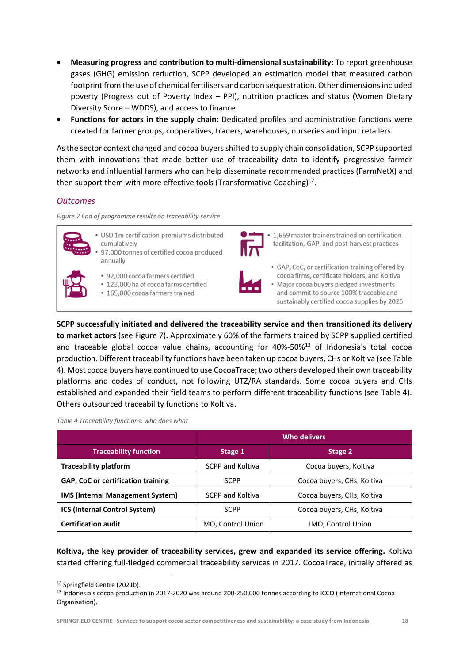- **Measuring progress and contribution to multi‐dimensional sustainability:** To report greenhouse gases (GHG) emission reduction, SCPP developed an estimation model that measured carbon footprint from the use of chemical fertilisers and carbon sequestration. Other dimensions included poverty (Progress out of Poverty Index – PPI), nutrition practices and status (Women Dietary Diversity Score – WDDS), and access to finance.
- **Functions for actors in the supply chain:** Dedicated profiles and administrative functions were created for farmer groups, cooperatives, traders, warehouses, nurseries and input retailers.

As the sector context changed and cocoa buyers shifted to supply chain consolidation, SCPP supported them with innovations that made better use of traceability data to identify progressive farmer networks and influential farmers who can help disseminate recommended practices (FarmNetX) and then support them with more effective tools (Transformative Coaching) $^{12}$ .

#### *Outcomes*

*Figure 7 End of programme results on traceability service* 



- USD 1m certification premiums distributed cumulatively 97,000 tonnes of certified cocoa produced annually
- 
- 92,000 cocoa farmers certified
- \* 123,000 ha of cocoa farms certified
- 165,000 cocoa farmers trained



• 1.659 master trainers trained on certification facilitation, GAP, and post-harvest practices



• GAP, CoC, or certification training offered by cocoa firms, certificate holders, and Koltiva · Major cocoa buyers pledged investments and commit to source 100% traceable and sustainably certified cocoa supplies by 2025

**SCPP successfully initiated and delivered the traceability service and then transitioned its delivery to market actors** (see Figure 7)**.** Approximately 60% of the farmers trained by SCPP supplied certified and traceable global cocoa value chains, accounting for  $40\% - 50\%$ <sup>13</sup> of Indonesia's total cocoa production. Different traceability functions have been taken up cocoa buyers, CHs or Koltiva (see Table 4). Most cocoa buyers have continued to use CocoaTrace; two others developed their own traceability platforms and codes of conduct, not following UTZ/RA standards. Some cocoa buyers and CHs established and expanded their field teams to perform different traceability functions (see Table 4). Others outsourced traceability functions to Koltiva.

*Table 4 Traceability functions: who does what* 

|                                           | Who delivers            |                            |  |
|-------------------------------------------|-------------------------|----------------------------|--|
| <b>Traceability function</b>              | Stage 1                 | Stage 2                    |  |
| <b>Traceability platform</b>              | <b>SCPP and Koltiva</b> | Cocoa buyers, Koltiva      |  |
| <b>GAP, CoC or certification training</b> | <b>SCPP</b>             | Cocoa buyers, CHs, Koltiva |  |
| <b>IMS (Internal Management System)</b>   | <b>SCPP and Koltiva</b> | Cocoa buyers, CHs, Koltiva |  |
| <b>ICS (Internal Control System)</b>      | <b>SCPP</b>             | Cocoa buyers, CHs, Koltiva |  |
| <b>Certification audit</b>                | IMO, Control Union      | IMO, Control Union         |  |

**Koltiva, the key provider of traceability services, grew and expanded its service offering.** Koltiva started offering full-fledged commercial traceability services in 2017. CocoaTrace, initially offered as

<sup>12</sup> Springfield Centre (2021b).

<sup>13</sup> Indonesia's cocoa production in 2017-2020 was around 200-250,000 tonnes according to ICCO (International Cocoa Organisation).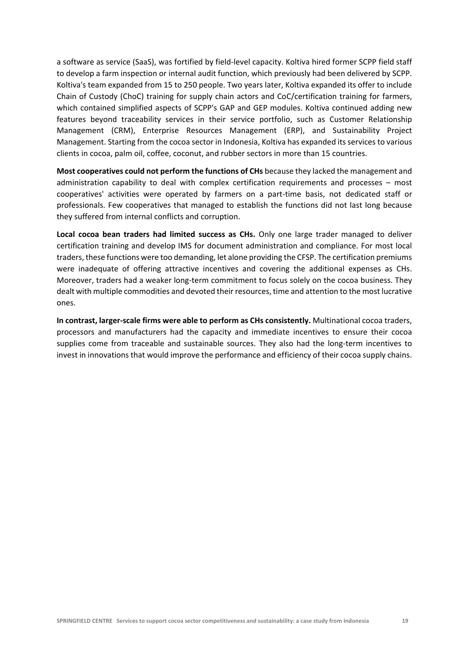a software as service (SaaS), was fortified by field‐level capacity. Koltiva hired former SCPP field staff to develop a farm inspection or internal audit function, which previously had been delivered by SCPP. Koltiva's team expanded from 15 to 250 people. Two years later, Koltiva expanded its offer to include Chain of Custody (ChoC) training for supply chain actors and CoC/certification training for farmers, which contained simplified aspects of SCPP's GAP and GEP modules. Koltiva continued adding new features beyond traceability services in their service portfolio, such as Customer Relationship Management (CRM), Enterprise Resources Management (ERP), and Sustainability Project Management. Starting from the cocoa sector in Indonesia, Koltiva has expanded its services to various clients in cocoa, palm oil, coffee, coconut, and rubber sectors in more than 15 countries.

**Most cooperatives could not perform the functions of CHs** because they lacked the management and administration capability to deal with complex certification requirements and processes – most cooperatives' activities were operated by farmers on a part‐time basis, not dedicated staff or professionals. Few cooperatives that managed to establish the functions did not last long because they suffered from internal conflicts and corruption.

**Local cocoa bean traders had limited success as CHs.** Only one large trader managed to deliver certification training and develop IMS for document administration and compliance. For most local traders, these functions were too demanding, let alone providing the CFSP. The certification premiums were inadequate of offering attractive incentives and covering the additional expenses as CHs. Moreover, traders had a weaker long-term commitment to focus solely on the cocoa business. They dealt with multiple commodities and devoted their resources, time and attention to the most lucrative ones.

**In contrast, larger‐scale firms were able to perform as CHs consistently.** Multinational cocoa traders, processors and manufacturers had the capacity and immediate incentives to ensure their cocoa supplies come from traceable and sustainable sources. They also had the long-term incentives to invest in innovations that would improve the performance and efficiency of their cocoa supply chains.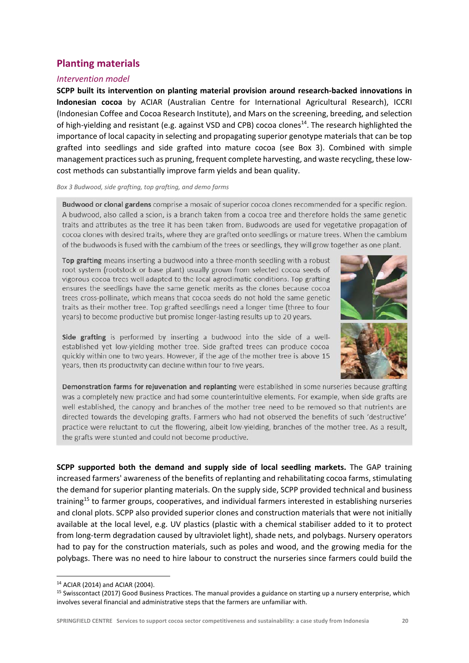# **Planting materials**

#### *Intervention model*

**SCPP built its intervention on planting material provision around research‐backed innovations in Indonesian cocoa**  by ACIAR (Australian Centre for International Agricultural Research), ICCRI (Indonesian Coffee and Cocoa Research Institute), and Mars on the screening, breeding, and selection of high-yielding and resistant (e.g. against VSD and CPB) cocoa clones<sup>14</sup>. The research highlighted the importance of local capacity in selecting and propagating superior genotype materials that can be top grafted into seedlings and side grafted into mature cocoa (see Box 3). Combined with simple management practices such as pruning, frequent complete harvesting, and waste recycling, these lowcost methods can substantially improve farm yields and bean quality.

#### *Box 3 Budwood, side grafting, top grafting, and demo farms*

Budwood or clonal gardens comprise a mosaic of superior cocoa clones recommended for a specific region. A budwood, also called a scion, is a branch taken from a cocoa tree and therefore holds the same genetic traits and attributes as the tree it has been taken from. Budwoods are used for vegetative propagation of cocoa clones with desired traits, where they are grafted onto seedlings or mature trees. When the cambium of the budwoods is fused with the cambium of the trees or seedlings, they will grow together as one plant.

Top grafting means inserting a budwood into a three-month seedling with a robust root system (rootstock or base plant) usually grown from selected cocoa seeds of vigorous cocoa trees well adapted to the local agroclimatic conditions. Top grafting ensures the seedlings have the same genetic merits as the clones because cocoa trees cross-pollinate, which means that cocoa seeds do not hold the same genetic traits as their mother tree. Top grafted seedlings need a longer time (three to four years) to become productive but promise longer-lasting results up to 20 years.



Side grafting is performed by inserting a budwood into the side of a wellestablished yet low-yielding mother tree. Side grafted trees can produce cocoa quickly within one to two years. However, if the age of the mother tree is above 15 years, then its productivity can decline within four to five years.

Demonstration farms for rejuvenation and replanting were established in some nurseries because grafting was a completely new practice and had some counterintuitive elements. For example, when side grafts are well established, the canopy and branches of the mother tree need to be removed so that nutrients are directed towards the developing grafts. Farmers who had not observed the benefits of such 'destructive' practice were reluctant to cut the flowering, albeit low-yielding, branches of the mother tree. As a result, the grafts were stunted and could not become productive.

**SCPP supported both the demand and supply side of local seedling markets.**  The GAP training increased farmers' awareness of the benefits of replanting and rehabilitating cocoa farms, stimulating the demand for superior planting materials. On the supply side, SCPP provided technical and business training<sup>15</sup> to farmer groups, cooperatives, and individual farmers interested in establishing nurseries and clonal plots. SCPP also provided superior clones and construction materials that were not initially available at the local level, e.g. UV plastics (plastic with a chemical stabiliser added to it to protect from long-term degradation caused by ultraviolet light), shade nets, and polybags. Nursery operators had to pay for the construction materials, such as poles and wood, and the growing media for the polybags. There was no need to hire labour to construct the nurseries since farmers could build the

<sup>14</sup> ACIAR (2014) and ACIAR (2004).

<sup>&</sup>lt;sup>15</sup> Swisscontact (2017) Good Business Practices. The manual provides a guidance on starting up a nursery enterprise, which involves several financial and administrative steps that the farmers are unfamiliar with.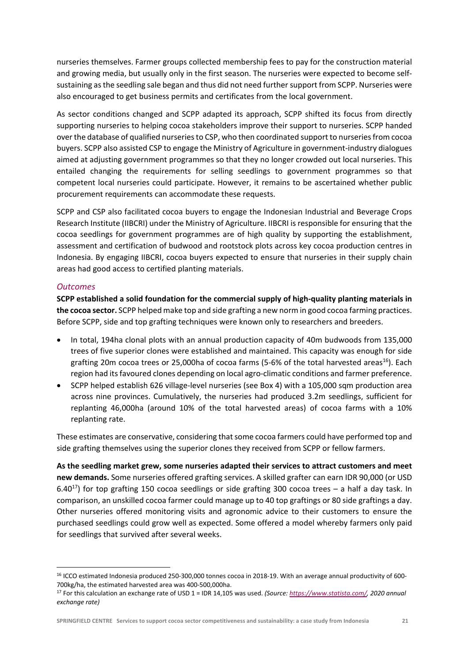nurseries themselves. Farmer groups collected membership fees to pay for the construction material and growing media, but usually only in the first season. The nurseries were expected to become selfsustaining as the seedling sale began and thus did not need further support from SCPP. Nurseries were also encouraged to get business permits and certificates from the local government.

As sector conditions changed and SCPP adapted its approach, SCPP shifted its focus from directly supporting nurseries to helping cocoa stakeholders improve their support to nurseries. SCPP handed over the database of qualified nurseries to CSP, who then coordinated support to nurseries from cocoa buyers. SCPP also assisted CSP to engage the Ministry of Agriculture in government‐industry dialogues aimed at adjusting government programmes so that they no longer crowded out local nurseries. This entailed changing the requirements for selling seedlings to government programmes so that competent local nurseries could participate. However, it remains to be ascertained whether public procurement requirements can accommodate these requests.

SCPP and CSP also facilitated cocoa buyers to engage the Indonesian Industrial and Beverage Crops Research Institute (IIBCRI) under the Ministry of Agriculture. IIBCRI is responsible for ensuring that the cocoa seedlings for government programmes are of high quality by supporting the establishment, assessment and certification of budwood and rootstock plots across key cocoa production centres in Indonesia. By engaging IIBCRI, cocoa buyers expected to ensure that nurseries in their supply chain areas had good access to certified planting materials.

#### *Outcomes*

**SCPP established a solid foundation for the commercial supply of high‐quality planting materials in the cocoa sector.** SCPP helped make top and side grafting a new norm in good cocoa farming practices. Before SCPP, side and top grafting techniques were known only to researchers and breeders.

- In total, 194ha clonal plots with an annual production capacity of 40m budwoods from 135,000 trees of five superior clones were established and maintained. This capacity was enough for side grafting 20m cocoa trees or 25,000ha of cocoa farms (5-6% of the total harvested areas<sup>16</sup>). Each region had its favoured clones depending on local agro‐climatic conditions and farmer preference.
- SCPP helped establish 626 village‐level nurseries (see Box 4) with a 105,000 sqm production area across nine provinces. Cumulatively, the nurseries had produced 3.2m seedlings, sufficient for replanting 46,000ha (around 10% of the total harvested areas) of cocoa farms with a 10% replanting rate.

These estimates are conservative, considering that some cocoa farmers could have performed top and side grafting themselves using the superior clones they received from SCPP or fellow farmers.

**As the seedling market grew, some nurseries adapted their services to attract customers and meet new demands.** Some nurseries offered grafting services. A skilled grafter can earn IDR 90,000 (or USD 6.40<sup>17</sup>) for top grafting 150 cocoa seedlings or side grafting 300 cocoa trees – a half a day task. In comparison, an unskilled cocoa farmer could manage up to 40 top graftings or 80 side graftings a day. Other nurseries offered monitoring visits and agronomic advice to their customers to ensure the purchased seedlings could grow well as expected. Some offered a model whereby farmers only paid for seedlings that survived after several weeks.

<sup>&</sup>lt;sup>16</sup> ICCO estimated Indonesia produced 250-300,000 tonnes cocoa in 2018-19. With an average annual productivity of 600-700kg/ha, the estimated harvested area was 400‐500,000ha.

<sup>17</sup> For this calculation an exchange rate of USD 1 = IDR 14,105 was used. *(Source: https://www.statista.com/, 2020 annual exchange rate)*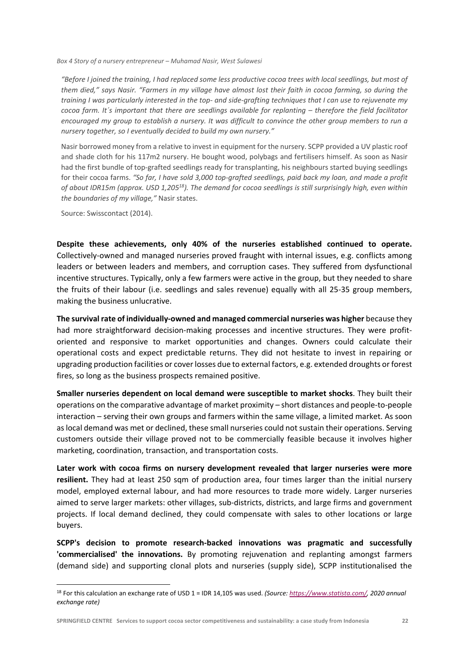*Box 4 Story of a nursery entrepreneur – Muhamad Nasir, West Sulawesi*

*"Before I joined the training, I had replaced some less productive cocoa trees with local seedlings, but most of them died," says Nasir. "Farmers in my village have almost lost their faith in cocoa farming, so during the training I was particularly interested in the top‐ and side‐grafting techniques that I can use to rejuvenate my cocoa farm. It´s important that there are seedlings available for replanting – therefore the field facilitator encouraged my group to establish a nursery. It was difficult to convince the other group members to run a nursery together, so I eventually decided to build my own nursery."* 

Nasir borrowed money from a relative to invest in equipment for the nursery. SCPP provided a UV plastic roof and shade cloth for his 117m2 nursery. He bought wood, polybags and fertilisers himself. As soon as Nasir had the first bundle of top‐grafted seedlings ready for transplanting, his neighbours started buying seedlings for their cocoa farms. "So far, I have sold 3,000 top-grafted seedlings, paid back my loan, and made a profit *of about IDR15m (approx. USD 1,20518). The demand for cocoa seedlings is still surprisingly high, even within the boundaries of my village,"* Nasir states.

Source: Swisscontact (2014).

**Despite these achievements, only 40% of the nurseries established continued to operate.**  Collectively‐owned and managed nurseries proved fraught with internal issues, e.g. conflicts among leaders or between leaders and members, and corruption cases. They suffered from dysfunctional incentive structures. Typically, only a few farmers were active in the group, but they needed to share the fruits of their labour (i.e. seedlings and sales revenue) equally with all 25‐35 group members, making the business unlucrative.

**The survival rate of individually‐owned and managed commercial nurseries was higher** because they had more straightforward decision-making processes and incentive structures. They were profitoriented and responsive to market opportunities and changes. Owners could calculate their operational costs and expect predictable returns. They did not hesitate to invest in repairing or upgrading production facilities or cover losses due to external factors, e.g. extended droughts or forest fires, so long as the business prospects remained positive.

**Smaller nurseries dependent on local demand were susceptible to market shocks**. They built their operations on the comparative advantage of market proximity – short distances and people‐to‐people interaction – serving their own groups and farmers within the same village, a limited market. As soon as local demand was met or declined, these small nurseries could not sustain their operations. Serving customers outside their village proved not to be commercially feasible because it involves higher marketing, coordination, transaction, and transportation costs.

**Later work with cocoa firms on nursery development revealed that larger nurseries were more**  resilient. They had at least 250 sqm of production area, four times larger than the initial nursery model, employed external labour, and had more resources to trade more widely. Larger nurseries aimed to serve larger markets: other villages, sub‐districts, districts, and large firms and government projects. If local demand declined, they could compensate with sales to other locations or large buyers.

**SCPP's decision to promote research‐backed innovations was pragmatic and successfully 'commercialised' the innovations.** By promoting rejuvenation and replanting amongst farmers (demand side) and supporting clonal plots and nurseries (supply side), SCPP institutionalised the

<sup>18</sup> For this calculation an exchange rate of USD 1 = IDR 14,105 was used. *(Source: https://www.statista.com/, 2020 annual exchange rate)*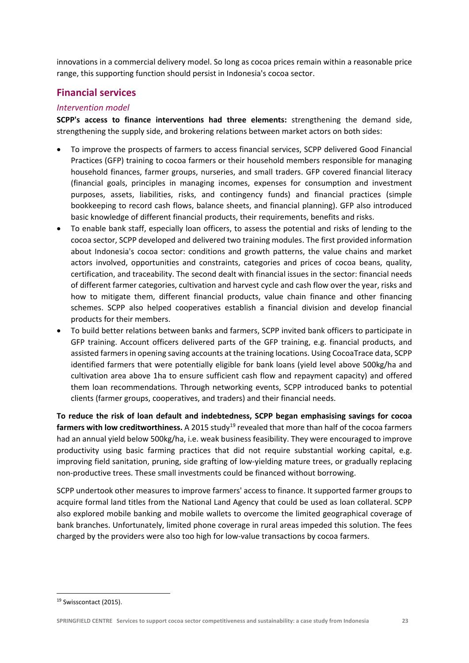innovations in a commercial delivery model. So long as cocoa prices remain within a reasonable price range, this supporting function should persist in Indonesia's cocoa sector.

## **Financial services**

#### *Intervention model*

**SCPP's access to finance interventions had three elements:**  strengthening the demand side, strengthening the supply side, and brokering relations between market actors on both sides:

- To improve the prospects of farmers to access financial services, SCPP delivered Good Financial Practices (GFP) training to cocoa farmers or their household members responsible for managing household finances, farmer groups, nurseries, and small traders. GFP covered financial literacy (financial goals, principles in managing incomes, expenses for consumption and investment purposes, assets, liabilities, risks, and contingency funds) and financial practices (simple bookkeeping to record cash flows, balance sheets, and financial planning). GFP also introduced basic knowledge of different financial products, their requirements, benefits and risks.
- To enable bank staff, especially loan officers, to assess the potential and risks of lending to the cocoa sector, SCPP developed and delivered two training modules. The first provided information about Indonesia's cocoa sector: conditions and growth patterns, the value chains and market actors involved, opportunities and constraints, categories and prices of cocoa beans, quality, certification, and traceability. The second dealt with financial issues in the sector: financial needs of different farmer categories, cultivation and harvest cycle and cash flow over the year, risks and how to mitigate them, different financial products, value chain finance and other financing schemes. SCPP also helped cooperatives establish a financial division and develop financial products for their members.
- To build better relations between banks and farmers, SCPP invited bank officers to participate in GFP training. Account officers delivered parts of the GFP training, e.g. financial products, and assisted farmers in opening saving accounts at the training locations. Using CocoaTrace data, SCPP identified farmers that were potentially eligible for bank loans (yield level above 500kg/ha and cultivation area above 1ha to ensure sufficient cash flow and repayment capacity) and offered them loan recommendations. Through networking events, SCPP introduced banks to potential clients (farmer groups, cooperatives, and traders) and their financial needs.

**To reduce the risk of loan default and indebtedness, SCPP began emphasising savings for cocoa**  farmers with low creditworthiness. A 2015 study<sup>19</sup> revealed that more than half of the cocoa farmers had an annual yield below 500kg/ha, i.e. weak business feasibility. They were encouraged to improve productivity using basic farming practices that did not require substantial working capital, e.g. improving field sanitation, pruning, side grafting of low-yielding mature trees, or gradually replacing non‐productive trees. These small investments could be financed without borrowing.

SCPP undertook other measures to improve farmers' access to finance. It supported farmer groups to acquire formal land titles from the National Land Agency that could be used as loan collateral. SCPP also explored mobile banking and mobile wallets to overcome the limited geographical coverage of bank branches. Unfortunately, limited phone coverage in rural areas impeded this solution. The fees charged by the providers were also too high for low‐value transactions by cocoa farmers.

<sup>&</sup>lt;sup>19</sup> Swisscontact (2015).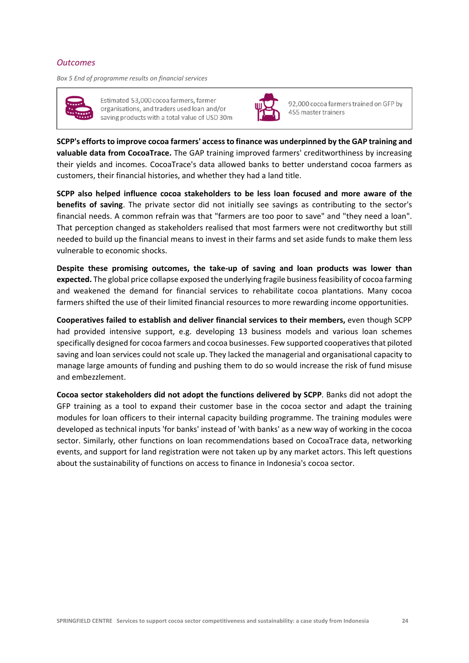#### *Outcomes*

*Box 5 End of programme results on financial services* 



Estimated 53,000 cocoa farmers, farmer organisations, and traders used loan and/or saving products with a total value of USD 30m



92,000 cocoa farmers trained on GFP by 455 master trainers

**SCPP's efforts to improve cocoa farmers' access to finance was underpinned by the GAP training and valuable data from CocoaTrace.** The GAP training improved farmers' creditworthiness by increasing their yields and incomes. CocoaTrace's data allowed banks to better understand cocoa farmers as customers, their financial histories, and whether they had a land title.

**SCPP also helped influence cocoa stakeholders to be less loan focused and more aware of the benefits of saving**. The private sector did not initially see savings as contributing to the sector's financial needs. A common refrain was that "farmers are too poor to save" and "they need a loan". That perception changed as stakeholders realised that most farmers were not creditworthy but still needed to build up the financial means to invest in their farms and set aside funds to make them less vulnerable to economic shocks.

**Despite these promising outcomes, the take‐up of saving and loan products was lower than expected.** The global price collapse exposed the underlying fragile business feasibility of cocoa farming and weakened the demand for financial services to rehabilitate cocoa plantations. Many cocoa farmers shifted the use of their limited financial resources to more rewarding income opportunities.

**Cooperatives failed to establish and deliver financial services to their members,** even though SCPP had provided intensive support, e.g. developing 13 business models and various loan schemes specifically designed for cocoa farmers and cocoa businesses. Few supported cooperatives that piloted saving and loan services could not scale up. They lacked the managerial and organisational capacity to manage large amounts of funding and pushing them to do so would increase the risk of fund misuse and embezzlement.

**Cocoa sector stakeholders did not adopt the functions delivered by SCPP**. Banks did not adopt the GFP training as a tool to expand their customer base in the cocoa sector and adapt the training modules for loan officers to their internal capacity building programme. The training modules were developed as technical inputs 'for banks' instead of 'with banks' as a new way of working in the cocoa sector. Similarly, other functions on loan recommendations based on CocoaTrace data, networking events, and support for land registration were not taken up by any market actors. This left questions about the sustainability of functions on access to finance in Indonesia's cocoa sector.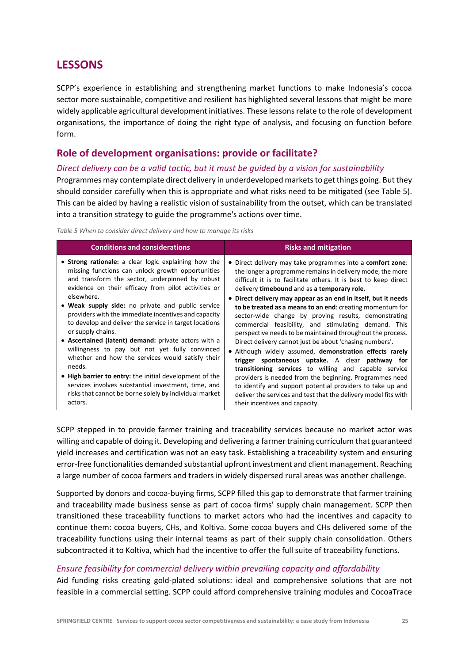# **LESSONS**

SCPP's experience in establishing and strengthening market functions to make Indonesia's cocoa sector more sustainable, competitive and resilient has highlighted several lessons that might be more widely applicable agricultural development initiatives. These lessons relate to the role of development organisations, the importance of doing the right type of analysis, and focusing on function before form.

# **Role of development organisations: provide or facilitate?**

#### *Direct delivery can be a valid tactic, but it must be guided by a vision for sustainability*

Programmes may contemplate direct delivery in underdeveloped markets to get things going. But they should consider carefully when this is appropriate and what risks need to be mitigated (see Table 5). This can be aided by having a realistic vision of sustainability from the outset, which can be translated into a transition strategy to guide the programme's actions over time.

*Table 5 When to consider direct delivery and how to manage its risks* 

| <b>Conditions and considerations</b>                    | <b>Risks and mitigation</b>                                        |
|---------------------------------------------------------|--------------------------------------------------------------------|
| • Strong rationale: a clear logic explaining how the    | • Direct delivery may take programmes into a <b>comfort zone</b> : |
| missing functions can unlock growth opportunities       | the longer a programme remains in delivery mode, the more          |
| and transform the sector, underpinned by robust         | difficult it is to facilitate others. It is best to keep direct    |
| evidence on their efficacy from pilot activities or     | delivery timebound and as a temporary role.                        |
| elsewhere.                                              | • Direct delivery may appear as an end in itself, but it needs     |
| • Weak supply side: no private and public service       | to be treated as a means to an end: creating momentum for          |
| providers with the immediate incentives and capacity    | sector-wide change by proving results, demonstrating               |
| to develop and deliver the service in target locations  | commercial feasibility, and stimulating demand. This               |
| or supply chains.                                       | perspective needs to be maintained throughout the process.         |
| • Ascertained (latent) demand: private actors with a    | Direct delivery cannot just be about 'chasing numbers'.            |
| willingness to pay but not yet fully convinced          | • Although widely assumed, demonstration effects rarely            |
| whether and how the services would satisfy their        | trigger spontaneous uptake. A clear pathway for                    |
| needs.                                                  | transitioning services to willing and capable service              |
| • High barrier to entry: the initial development of the | providers is needed from the beginning. Programmes need            |
| services involves substantial investment, time, and     | to identify and support potential providers to take up and         |
| risks that cannot be borne solely by individual market  | deliver the services and test that the delivery model fits with    |
| actors.                                                 | their incentives and capacity.                                     |

SCPP stepped in to provide farmer training and traceability services because no market actor was willing and capable of doing it. Developing and delivering a farmer training curriculum that guaranteed yield increases and certification was not an easy task. Establishing a traceability system and ensuring error‐free functionalities demanded substantial upfront investment and client management. Reaching a large number of cocoa farmers and traders in widely dispersed rural areas was another challenge.

Supported by donors and cocoa‐buying firms, SCPP filled this gap to demonstrate that farmer training and traceability made business sense as part of cocoa firms' supply chain management. SCPP then transitioned these traceability functions to market actors who had the incentives and capacity to continue them: cocoa buyers, CHs, and Koltiva. Some cocoa buyers and CHs delivered some of the traceability functions using their internal teams as part of their supply chain consolidation. Others subcontracted it to Koltiva, which had the incentive to offer the full suite of traceability functions.

### *Ensure feasibility for commercial delivery within prevailing capacity and affordability*

Aid funding risks creating gold‐plated solutions: ideal and comprehensive solutions that are not feasible in a commercial setting. SCPP could afford comprehensive training modules and CocoaTrace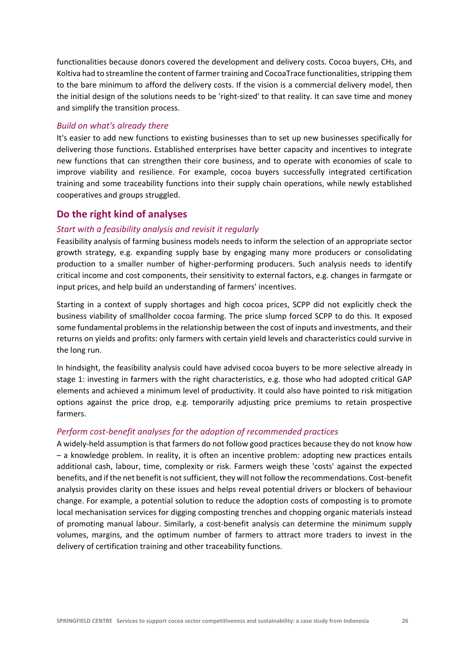functionalities because donors covered the development and delivery costs. Cocoa buyers, CHs, and Koltiva had to streamline the content of farmer training and CocoaTrace functionalities, stripping them to the bare minimum to afford the delivery costs. If the vision is a commercial delivery model, then the initial design of the solutions needs to be 'right‐sized' to that reality. It can save time and money and simplify the transition process.

#### *Build on what's already there*

It's easier to add new functions to existing businesses than to set up new businesses specifically for delivering those functions. Established enterprises have better capacity and incentives to integrate new functions that can strengthen their core business, and to operate with economies of scale to improve viability and resilience. For example, cocoa buyers successfully integrated certification training and some traceability functions into their supply chain operations, while newly established cooperatives and groups struggled.

#### **Do the right kind of analyses**

#### *Start with a feasibility analysis and revisit it regularly*

Feasibility analysis of farming business models needs to inform the selection of an appropriate sector growth strategy, e.g. expanding supply base by engaging many more producers or consolidating production to a smaller number of higher-performing producers. Such analysis needs to identify critical income and cost components, their sensitivity to external factors, e.g. changes in farmgate or input prices, and help build an understanding of farmers' incentives.

Starting in a context of supply shortages and high cocoa prices, SCPP did not explicitly check the business viability of smallholder cocoa farming. The price slump forced SCPP to do this. It exposed some fundamental problems in the relationship between the cost of inputs and investments, and their returns on yields and profits: only farmers with certain yield levels and characteristics could survive in the long run.

In hindsight, the feasibility analysis could have advised cocoa buyers to be more selective already in stage 1: investing in farmers with the right characteristics, e.g. those who had adopted critical GAP elements and achieved a minimum level of productivity. It could also have pointed to risk mitigation options against the price drop, e.g. temporarily adjusting price premiums to retain prospective farmers.

#### *Perform cost‐benefit analyses for the adoption of recommended practices*

A widely‐held assumption is that farmers do not follow good practices because they do not know how – a knowledge problem. In reality, it is often an incentive problem: adopting new practices entails additional cash, labour, time, complexity or risk. Farmers weigh these 'costs' against the expected benefits, and if the net benefit is not sufficient, they will not follow the recommendations. Cost‐benefit analysis provides clarity on these issues and helps reveal potential drivers or blockers of behaviour change. For example, a potential solution to reduce the adoption costs of composting is to promote local mechanisation services for digging composting trenches and chopping organic materials instead of promoting manual labour. Similarly, a cost‐benefit analysis can determine the minimum supply volumes, margins, and the optimum number of farmers to attract more traders to invest in the delivery of certification training and other traceability functions.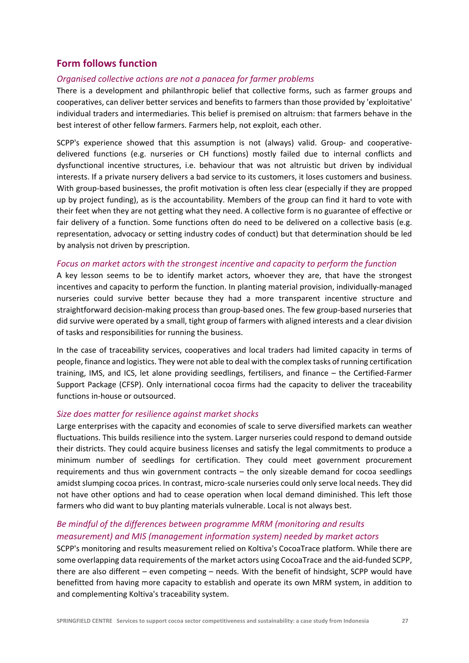# **Form follows function**

#### *Organised collective actions are not a panacea for farmer problems*

There is a development and philanthropic belief that collective forms, such as farmer groups and cooperatives, can deliver better services and benefits to farmers than those provided by 'exploitative' individual traders and intermediaries. This belief is premised on altruism: that farmers behave in the best interest of other fellow farmers. Farmers help, not exploit, each other.

SCPP's experience showed that this assumption is not (always) valid. Group- and cooperativedelivered functions (e.g. nurseries or CH functions) mostly failed due to internal conflicts and dysfunctional incentive structures, i.e. behaviour that was not altruistic but driven by individual interests. If a private nursery delivers a bad service to its customers, it loses customers and business. With group-based businesses, the profit motivation is often less clear (especially if they are propped up by project funding), as is the accountability. Members of the group can find it hard to vote with their feet when they are not getting what they need. A collective form is no guarantee of effective or fair delivery of a function. Some functions often do need to be delivered on a collective basis (e.g. representation, advocacy or setting industry codes of conduct) but that determination should be led by analysis not driven by prescription.

#### *Focus on market actors with the strongest incentive and capacity to perform the function*

A key lesson seems to be to identify market actors, whoever they are, that have the strongest incentives and capacity to perform the function. In planting material provision, individually‐managed nurseries could survive better because they had a more transparent incentive structure and straightforward decision‐making process than group‐based ones. The few group‐based nurseries that did survive were operated by a small, tight group of farmers with aligned interests and a clear division of tasks and responsibilities for running the business.

In the case of traceability services, cooperatives and local traders had limited capacity in terms of people, finance and logistics. They were not able to deal with the complex tasks of running certification training, IMS, and ICS, let alone providing seedlings, fertilisers, and finance – the Certified‐Farmer Support Package (CFSP). Only international cocoa firms had the capacity to deliver the traceability functions in‐house or outsourced.

#### *Size does matter for resilience against market shocks*

Large enterprises with the capacity and economies of scale to serve diversified markets can weather fluctuations. This builds resilience into the system. Larger nurseries could respond to demand outside their districts. They could acquire business licenses and satisfy the legal commitments to produce a minimum number of seedlings for certification. They could meet government procurement requirements and thus win government contracts – the only sizeable demand for cocoa seedlings amidst slumping cocoa prices. In contrast, micro‐scale nurseries could only serve local needs. They did not have other options and had to cease operation when local demand diminished. This left those farmers who did want to buy planting materials vulnerable. Local is not always best.

# *Be mindful of the differences between programme MRM (monitoring and results*

### *measurement) and MIS (management information system) needed by market actors*

SCPP's monitoring and results measurement relied on Koltiva's CocoaTrace platform. While there are some overlapping data requirements of the market actors using CocoaTrace and the aid-funded SCPP, there are also different – even competing – needs. With the benefit of hindsight, SCPP would have benefitted from having more capacity to establish and operate its own MRM system, in addition to and complementing Koltiva's traceability system.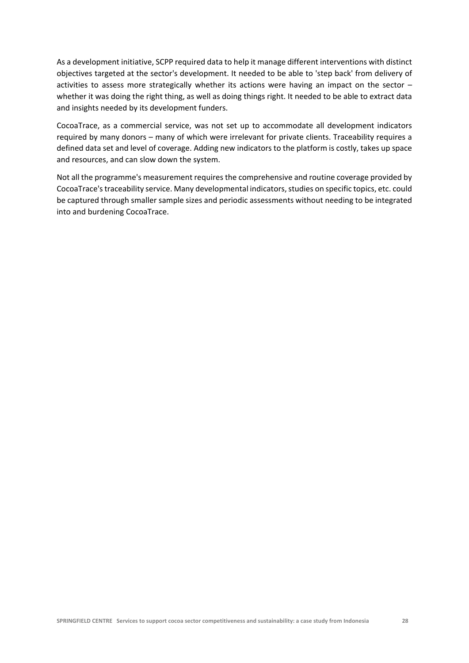As a development initiative, SCPP required data to help it manage different interventions with distinct objectives targeted at the sector's development. It needed to be able to 'step back' from delivery of activities to assess more strategically whether its actions were having an impact on the sector  $$ whether it was doing the right thing, as well as doing things right. It needed to be able to extract data and insights needed by its development funders.

CocoaTrace, as a commercial service, was not set up to accommodate all development indicators required by many donors – many of which were irrelevant for private clients. Traceability requires a defined data set and level of coverage. Adding new indicators to the platform is costly, takes up space and resources, and can slow down the system.

Not all the programme's measurement requires the comprehensive and routine coverage provided by CocoaTrace's traceability service. Many developmental indicators, studies on specific topics, etc. could be captured through smaller sample sizes and periodic assessments without needing to be integrated into and burdening CocoaTrace.